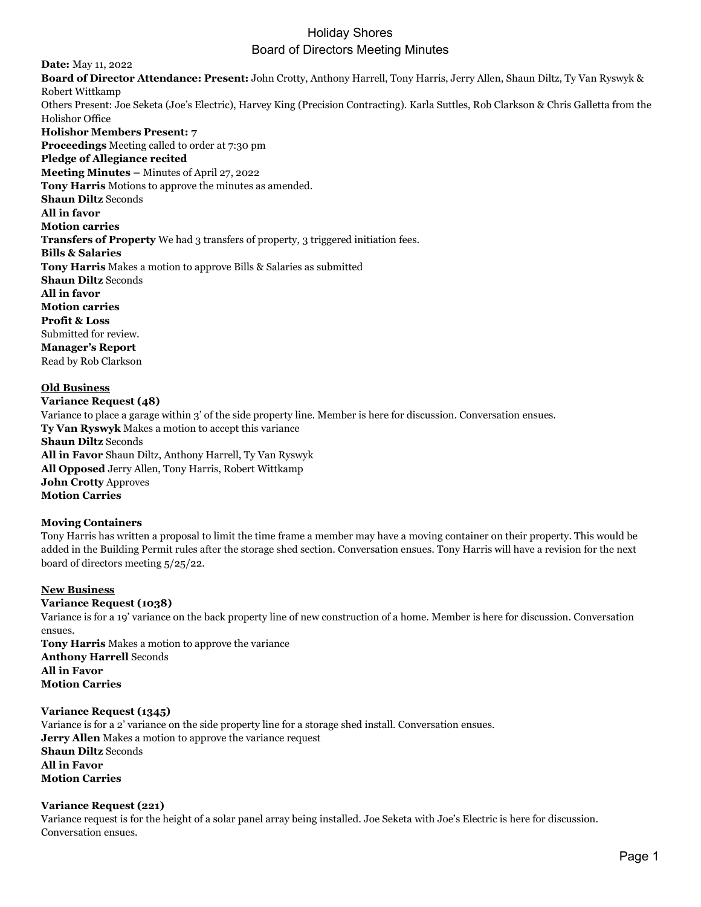# Holiday Shores Board of Directors Meeting Minutes

**Date:** May 11, 2022 **Board of Director Attendance: Present:** John Crotty, Anthony Harrell, Tony Harris, Jerry Allen, Shaun Diltz, Ty Van Ryswyk & Robert Wittkamp Others Present: Joe Seketa (Joe's Electric), Harvey King (Precision Contracting). Karla Suttles, Rob Clarkson & Chris Galletta from the Holishor Office **Holishor Members Present: 7 Proceedings** Meeting called to order at 7:30 pm **Pledge of Allegiance recited Meeting Minutes –** Minutes of April 27, 2022 **Tony Harris** Motions to approve the minutes as amended. **Shaun Diltz** Seconds **All in favor Motion carries Transfers of Property** We had 3 transfers of property, 3 triggered initiation fees. **Bills & Salaries Tony Harris** Makes a motion to approve Bills & Salaries as submitted **Shaun Diltz** Seconds **All in favor Motion carries Profit & Loss** Submitted for review. **Manager's Report** Read by Rob Clarkson

**Old Business Variance Request (48)** Variance to place a garage within 3' of the side property line. Member is here for discussion. Conversation ensues. **Ty Van Ryswyk** Makes a motion to accept this variance **Shaun Diltz** Seconds **All in Favor** Shaun Diltz, Anthony Harrell, Ty Van Ryswyk **All Opposed** Jerry Allen, Tony Harris, Robert Wittkamp **John Crotty** Approves **Motion Carries**

## **Moving Containers**

Tony Harris has written a proposal to limit the time frame a member may have a moving container on their property. This would be added in the Building Permit rules after the storage shed section. Conversation ensues. Tony Harris will have a revision for the next board of directors meeting 5/25/22.

#### **New Business**

#### **Variance Request (1038)**

Variance is for a 19' variance on the back property line of new construction of a home. Member is here for discussion. Conversation ensues.

**Tony Harris** Makes a motion to approve the variance **Anthony Harrell** Seconds **All in Favor Motion Carries**

## **Variance Request (1345)**

Variance is for a 2' variance on the side property line for a storage shed install. Conversation ensues. **Jerry Allen** Makes a motion to approve the variance request **Shaun Diltz** Seconds **All in Favor Motion Carries**

#### **Variance Request (221)**

Variance request is for the height of a solar panel array being installed. Joe Seketa with Joe's Electric is here for discussion. Conversation ensues.